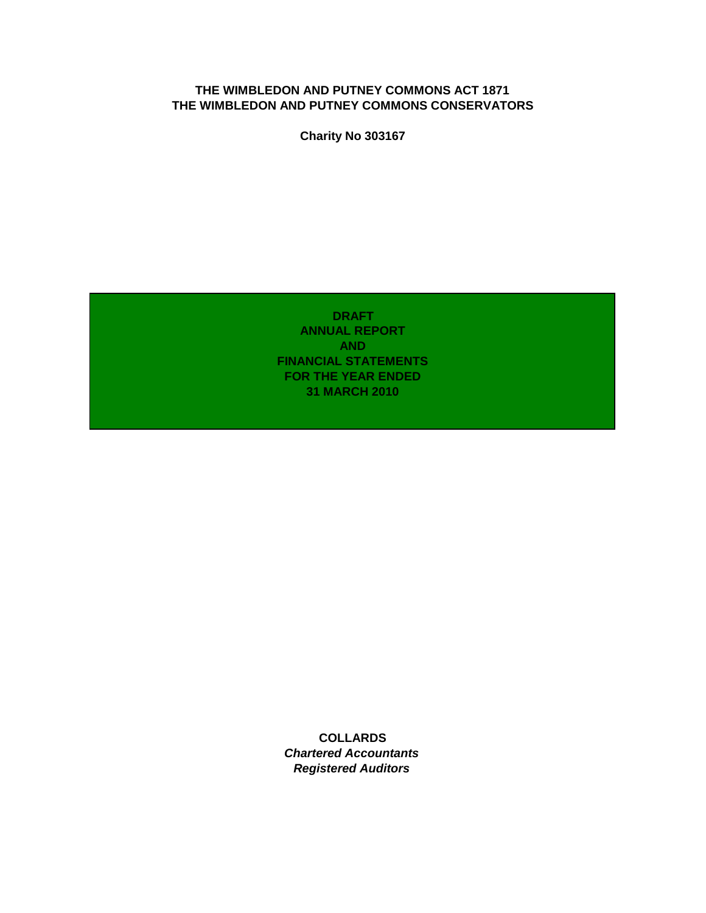### **THE WIMBLEDON AND PUTNEY COMMONS ACT 1871 THE WIMBLEDON AND PUTNEY COMMONS CONSERVATORS**

**Charity No 303167**

**DRAFT ANNUAL REPORT AND FINANCIAL STATEMENTS FOR THE YEAR ENDED 31 MARCH 2010**

**COLLARDS** *Chartered Accountants Registered Auditors*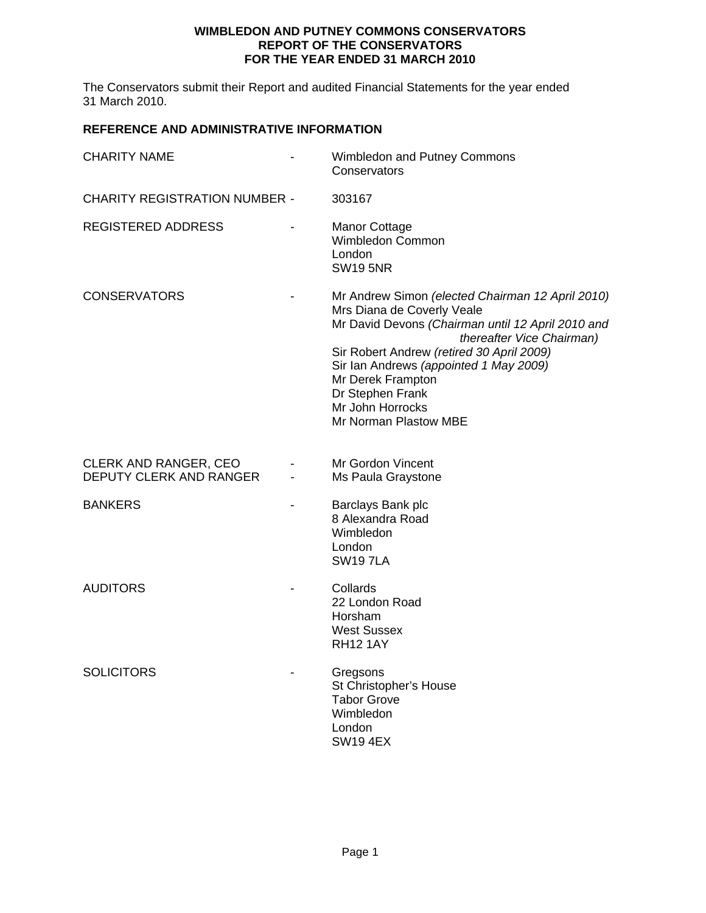#### **WIMBLEDON AND PUTNEY COMMONS CONSERVATORS REPORT OF THE CONSERVATORS FOR THE YEAR ENDED 31 MARCH 2010**

The Conservators submit their Report and audited Financial Statements for the year ended 31 March 2010.

### **REFERENCE AND ADMINISTRATIVE INFORMATION**

| <b>CHARITY NAME</b>                                     | Wimbledon and Putney Commons<br>Conservators                                                                                                                                                                                                                                                                                                  |
|---------------------------------------------------------|-----------------------------------------------------------------------------------------------------------------------------------------------------------------------------------------------------------------------------------------------------------------------------------------------------------------------------------------------|
| <b>CHARITY REGISTRATION NUMBER -</b>                    | 303167                                                                                                                                                                                                                                                                                                                                        |
| REGISTERED ADDRESS                                      | <b>Manor Cottage</b><br>Wimbledon Common<br>London<br><b>SW19 5NR</b>                                                                                                                                                                                                                                                                         |
| <b>CONSERVATORS</b>                                     | Mr Andrew Simon (elected Chairman 12 April 2010)<br>Mrs Diana de Coverly Veale<br>Mr David Devons (Chairman until 12 April 2010 and<br>thereafter Vice Chairman)<br>Sir Robert Andrew (retired 30 April 2009)<br>Sir Ian Andrews (appointed 1 May 2009)<br>Mr Derek Frampton<br>Dr Stephen Frank<br>Mr John Horrocks<br>Mr Norman Plastow MBE |
| <b>CLERK AND RANGER, CEO</b><br>DEPUTY CLERK AND RANGER | Mr Gordon Vincent<br>Ms Paula Graystone                                                                                                                                                                                                                                                                                                       |
| <b>BANKERS</b>                                          | Barclays Bank plc<br>8 Alexandra Road<br>Wimbledon<br>London<br><b>SW197LA</b>                                                                                                                                                                                                                                                                |
| <b>AUDITORS</b>                                         | Collards<br>22 London Road<br>Horsham<br><b>West Sussex</b><br><b>RH12 1AY</b>                                                                                                                                                                                                                                                                |
| <b>SOLICITORS</b>                                       | Gregsons<br>St Christopher's House<br><b>Tabor Grove</b><br>Wimbledon<br>London<br><b>SW19 4EX</b>                                                                                                                                                                                                                                            |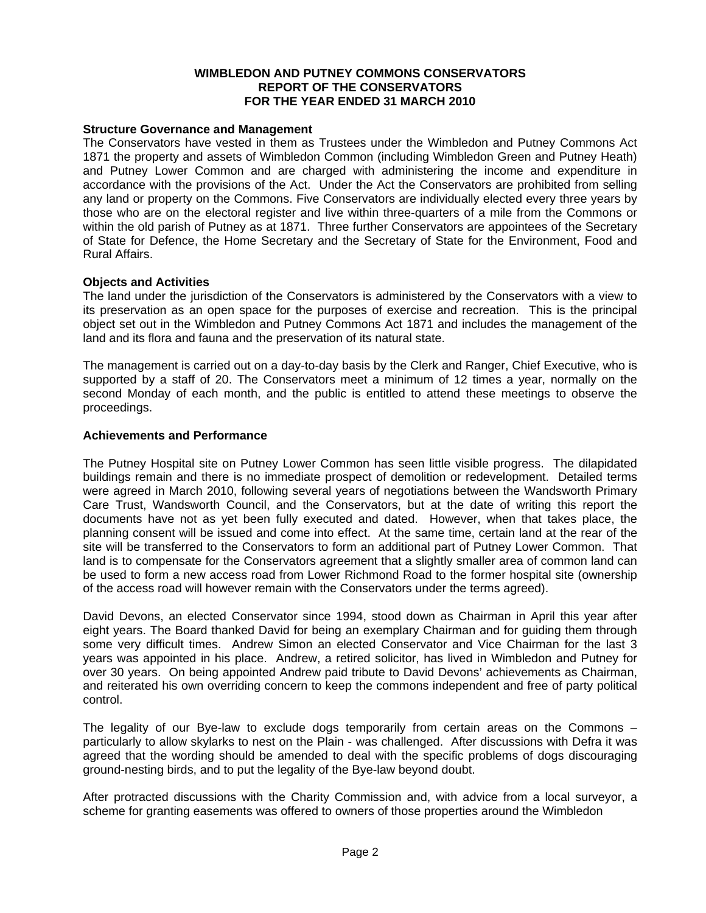#### **WIMBLEDON AND PUTNEY COMMONS CONSERVATORS REPORT OF THE CONSERVATORS FOR THE YEAR ENDED 31 MARCH 2010**

#### **Structure Governance and Management**

The Conservators have vested in them as Trustees under the Wimbledon and Putney Commons Act 1871 the property and assets of Wimbledon Common (including Wimbledon Green and Putney Heath) and Putney Lower Common and are charged with administering the income and expenditure in accordance with the provisions of the Act. Under the Act the Conservators are prohibited from selling any land or property on the Commons. Five Conservators are individually elected every three years by those who are on the electoral register and live within three-quarters of a mile from the Commons or within the old parish of Putney as at 1871. Three further Conservators are appointees of the Secretary of State for Defence, the Home Secretary and the Secretary of State for the Environment, Food and Rural Affairs.

#### **Objects and Activities**

The land under the jurisdiction of the Conservators is administered by the Conservators with a view to its preservation as an open space for the purposes of exercise and recreation. This is the principal object set out in the Wimbledon and Putney Commons Act 1871 and includes the management of the land and its flora and fauna and the preservation of its natural state.

The management is carried out on a day-to-day basis by the Clerk and Ranger, Chief Executive, who is supported by a staff of 20. The Conservators meet a minimum of 12 times a year, normally on the second Monday of each month, and the public is entitled to attend these meetings to observe the proceedings.

#### **Achievements and Performance**

The Putney Hospital site on Putney Lower Common has seen little visible progress. The dilapidated buildings remain and there is no immediate prospect of demolition or redevelopment. Detailed terms were agreed in March 2010, following several years of negotiations between the Wandsworth Primary Care Trust, Wandsworth Council, and the Conservators, but at the date of writing this report the documents have not as yet been fully executed and dated. However, when that takes place, the planning consent will be issued and come into effect. At the same time, certain land at the rear of the site will be transferred to the Conservators to form an additional part of Putney Lower Common. That land is to compensate for the Conservators agreement that a slightly smaller area of common land can be used to form a new access road from Lower Richmond Road to the former hospital site (ownership of the access road will however remain with the Conservators under the terms agreed).

David Devons, an elected Conservator since 1994, stood down as Chairman in April this year after eight years. The Board thanked David for being an exemplary Chairman and for guiding them through some very difficult times. Andrew Simon an elected Conservator and Vice Chairman for the last 3 years was appointed in his place. Andrew, a retired solicitor, has lived in Wimbledon and Putney for over 30 years. On being appointed Andrew paid tribute to David Devons' achievements as Chairman, and reiterated his own overriding concern to keep the commons independent and free of party political control.

The legality of our Bye-law to exclude dogs temporarily from certain areas on the Commons – particularly to allow skylarks to nest on the Plain - was challenged. After discussions with Defra it was agreed that the wording should be amended to deal with the specific problems of dogs discouraging ground-nesting birds, and to put the legality of the Bye-law beyond doubt.

After protracted discussions with the Charity Commission and, with advice from a local surveyor, a scheme for granting easements was offered to owners of those properties around the Wimbledon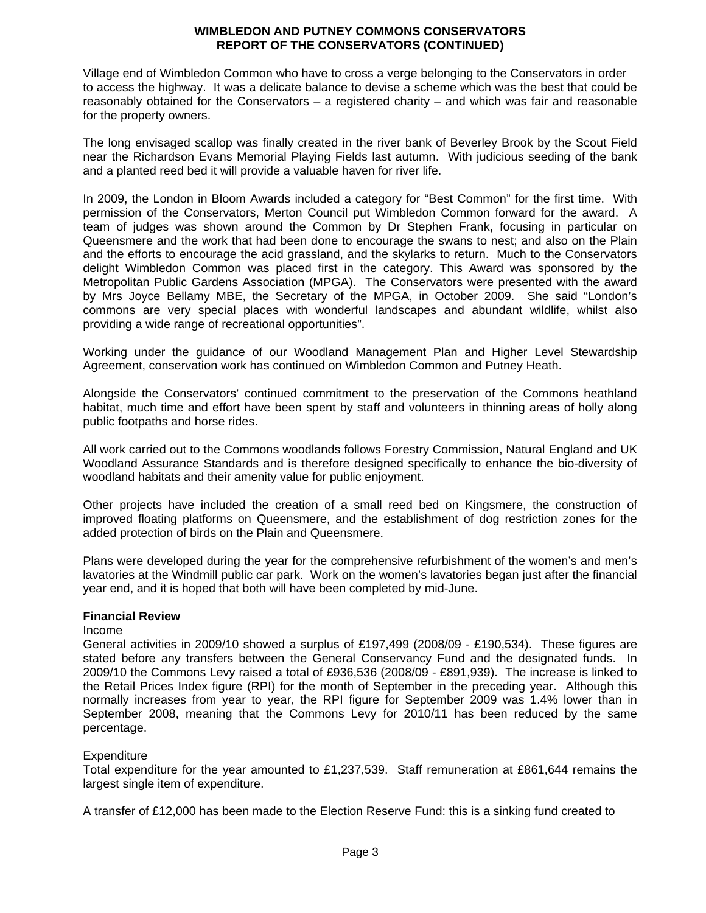#### **WIMBLEDON AND PUTNEY COMMONS CONSERVATORS REPORT OF THE CONSERVATORS (CONTINUED)**

Village end of Wimbledon Common who have to cross a verge belonging to the Conservators in order to access the highway. It was a delicate balance to devise a scheme which was the best that could be reasonably obtained for the Conservators – a registered charity – and which was fair and reasonable for the property owners.

The long envisaged scallop was finally created in the river bank of Beverley Brook by the Scout Field near the Richardson Evans Memorial Playing Fields last autumn. With judicious seeding of the bank and a planted reed bed it will provide a valuable haven for river life.

In 2009, the London in Bloom Awards included a category for "Best Common" for the first time. With permission of the Conservators, Merton Council put Wimbledon Common forward for the award. A team of judges was shown around the Common by Dr Stephen Frank, focusing in particular on Queensmere and the work that had been done to encourage the swans to nest; and also on the Plain and the efforts to encourage the acid grassland, and the skylarks to return. Much to the Conservators delight Wimbledon Common was placed first in the category. This Award was sponsored by the Metropolitan Public Gardens Association (MPGA). The Conservators were presented with the award by Mrs Joyce Bellamy MBE, the Secretary of the MPGA, in October 2009. She said "London's commons are very special places with wonderful landscapes and abundant wildlife, whilst also providing a wide range of recreational opportunities".

Working under the guidance of our Woodland Management Plan and Higher Level Stewardship Agreement, conservation work has continued on Wimbledon Common and Putney Heath.

Alongside the Conservators' continued commitment to the preservation of the Commons heathland habitat, much time and effort have been spent by staff and volunteers in thinning areas of holly along public footpaths and horse rides.

All work carried out to the Commons woodlands follows Forestry Commission, Natural England and UK Woodland Assurance Standards and is therefore designed specifically to enhance the bio-diversity of woodland habitats and their amenity value for public enjoyment.

Other projects have included the creation of a small reed bed on Kingsmere, the construction of improved floating platforms on Queensmere, and the establishment of dog restriction zones for the added protection of birds on the Plain and Queensmere.

Plans were developed during the year for the comprehensive refurbishment of the women's and men's lavatories at the Windmill public car park. Work on the women's lavatories began just after the financial year end, and it is hoped that both will have been completed by mid-June.

#### **Financial Review**

#### Income

General activities in 2009/10 showed a surplus of £197,499 (2008/09 - £190,534). These figures are stated before any transfers between the General Conservancy Fund and the designated funds. In 2009/10 the Commons Levy raised a total of £936,536 (2008/09 - £891,939). The increase is linked to the Retail Prices Index figure (RPI) for the month of September in the preceding year. Although this normally increases from year to year, the RPI figure for September 2009 was 1.4% lower than in September 2008, meaning that the Commons Levy for 2010/11 has been reduced by the same percentage.

#### **Expenditure**

Total expenditure for the year amounted to £1,237,539. Staff remuneration at £861,644 remains the largest single item of expenditure.

A transfer of £12,000 has been made to the Election Reserve Fund: this is a sinking fund created to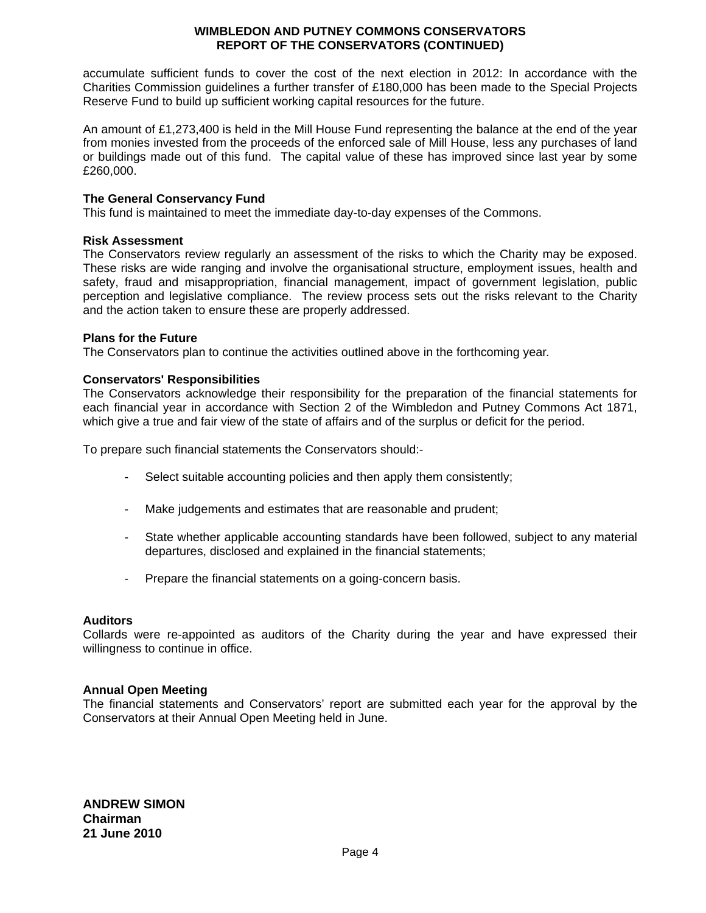#### **WIMBLEDON AND PUTNEY COMMONS CONSERVATORS REPORT OF THE CONSERVATORS (CONTINUED)**

accumulate sufficient funds to cover the cost of the next election in 2012: In accordance with the Charities Commission guidelines a further transfer of £180,000 has been made to the Special Projects Reserve Fund to build up sufficient working capital resources for the future.

An amount of £1,273,400 is held in the Mill House Fund representing the balance at the end of the year from monies invested from the proceeds of the enforced sale of Mill House, less any purchases of land or buildings made out of this fund. The capital value of these has improved since last year by some £260,000.

#### **The General Conservancy Fund**

This fund is maintained to meet the immediate day-to-day expenses of the Commons.

#### **Risk Assessment**

The Conservators review regularly an assessment of the risks to which the Charity may be exposed. These risks are wide ranging and involve the organisational structure, employment issues, health and safety, fraud and misappropriation, financial management, impact of government legislation, public perception and legislative compliance. The review process sets out the risks relevant to the Charity and the action taken to ensure these are properly addressed.

#### **Plans for the Future**

The Conservators plan to continue the activities outlined above in the forthcoming year*.* 

#### **Conservators' Responsibilities**

The Conservators acknowledge their responsibility for the preparation of the financial statements for each financial year in accordance with Section 2 of the Wimbledon and Putney Commons Act 1871, which give a true and fair view of the state of affairs and of the surplus or deficit for the period.

To prepare such financial statements the Conservators should:-

- Select suitable accounting policies and then apply them consistently;
- Make judgements and estimates that are reasonable and prudent;
- State whether applicable accounting standards have been followed, subject to any material departures, disclosed and explained in the financial statements;
- Prepare the financial statements on a going-concern basis.

#### **Auditors**

Collards were re-appointed as auditors of the Charity during the year and have expressed their willingness to continue in office.

#### **Annual Open Meeting**

The financial statements and Conservators' report are submitted each year for the approval by the Conservators at their Annual Open Meeting held in June.

**ANDREW SIMON Chairman 21 June 2010**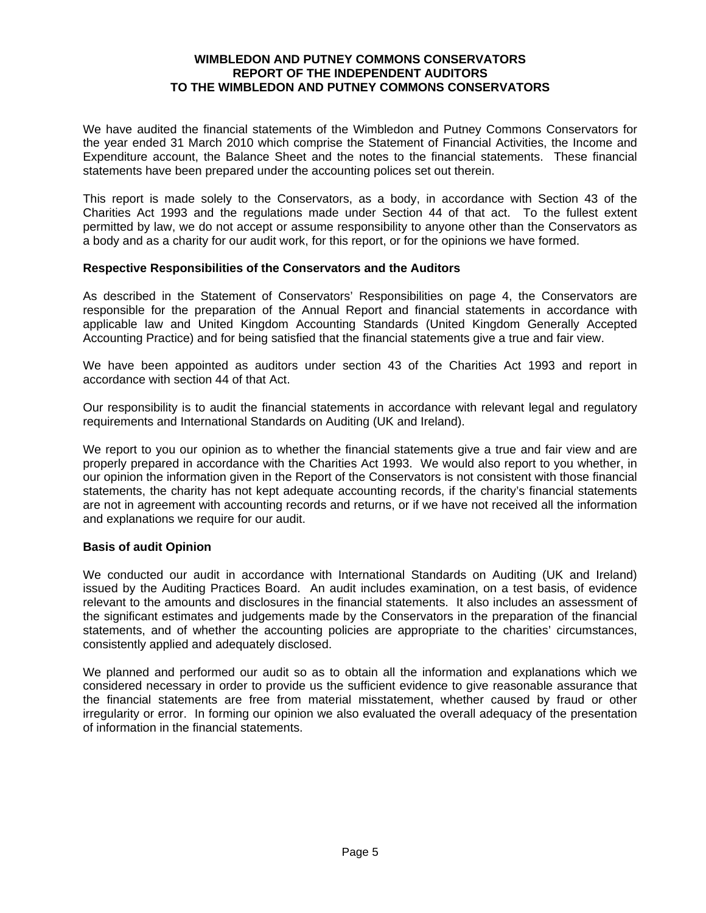#### **WIMBLEDON AND PUTNEY COMMONS CONSERVATORS REPORT OF THE INDEPENDENT AUDITORS TO THE WIMBLEDON AND PUTNEY COMMONS CONSERVATORS**

We have audited the financial statements of the Wimbledon and Putney Commons Conservators for the year ended 31 March 2010 which comprise the Statement of Financial Activities, the Income and Expenditure account, the Balance Sheet and the notes to the financial statements. These financial statements have been prepared under the accounting polices set out therein.

This report is made solely to the Conservators, as a body, in accordance with Section 43 of the Charities Act 1993 and the regulations made under Section 44 of that act. To the fullest extent permitted by law, we do not accept or assume responsibility to anyone other than the Conservators as a body and as a charity for our audit work, for this report, or for the opinions we have formed.

#### **Respective Responsibilities of the Conservators and the Auditors**

As described in the Statement of Conservators' Responsibilities on page 4, the Conservators are responsible for the preparation of the Annual Report and financial statements in accordance with applicable law and United Kingdom Accounting Standards (United Kingdom Generally Accepted Accounting Practice) and for being satisfied that the financial statements give a true and fair view.

We have been appointed as auditors under section 43 of the Charities Act 1993 and report in accordance with section 44 of that Act.

Our responsibility is to audit the financial statements in accordance with relevant legal and regulatory requirements and International Standards on Auditing (UK and Ireland).

We report to you our opinion as to whether the financial statements give a true and fair view and are properly prepared in accordance with the Charities Act 1993. We would also report to you whether, in our opinion the information given in the Report of the Conservators is not consistent with those financial statements, the charity has not kept adequate accounting records, if the charity's financial statements are not in agreement with accounting records and returns, or if we have not received all the information and explanations we require for our audit.

#### **Basis of audit Opinion**

We conducted our audit in accordance with International Standards on Auditing (UK and Ireland) issued by the Auditing Practices Board. An audit includes examination, on a test basis, of evidence relevant to the amounts and disclosures in the financial statements. It also includes an assessment of the significant estimates and judgements made by the Conservators in the preparation of the financial statements, and of whether the accounting policies are appropriate to the charities' circumstances, consistently applied and adequately disclosed.

We planned and performed our audit so as to obtain all the information and explanations which we considered necessary in order to provide us the sufficient evidence to give reasonable assurance that the financial statements are free from material misstatement, whether caused by fraud or other irregularity or error. In forming our opinion we also evaluated the overall adequacy of the presentation of information in the financial statements.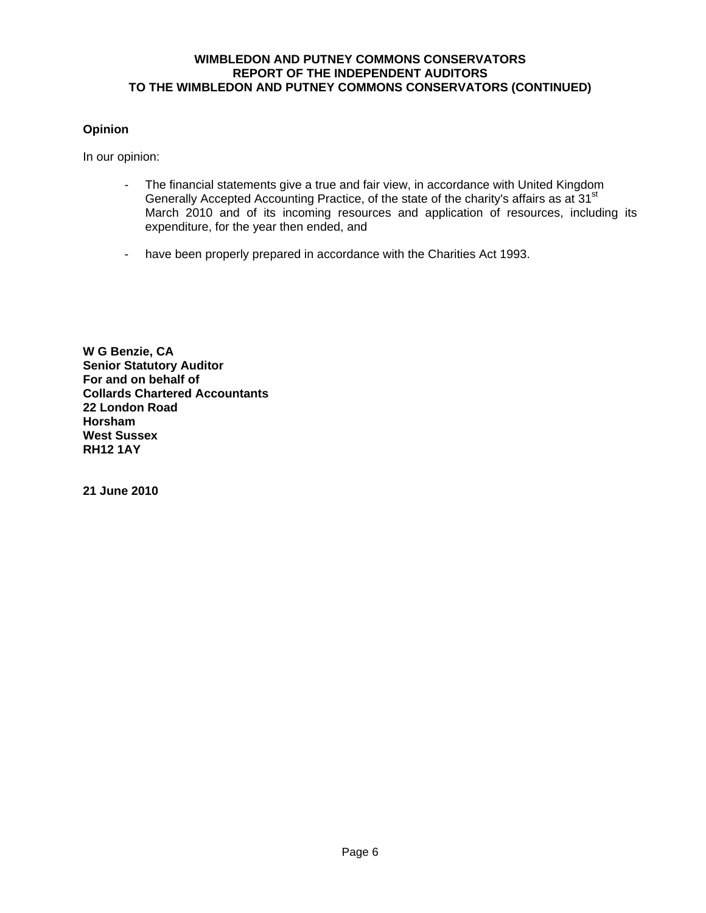#### **WIMBLEDON AND PUTNEY COMMONS CONSERVATORS REPORT OF THE INDEPENDENT AUDITORS TO THE WIMBLEDON AND PUTNEY COMMONS CONSERVATORS (CONTINUED)**

#### **Opinion**

In our opinion:

- The financial statements give a true and fair view, in accordance with United Kingdom Generally Accepted Accounting Practice, of the state of the charity's affairs as at 31<sup>st</sup> March 2010 and of its incoming resources and application of resources, including its expenditure, for the year then ended, and
- have been properly prepared in accordance with the Charities Act 1993.

**W G Benzie, CA Senior Statutory Auditor For and on behalf of Collards Chartered Accountants 22 London Road Horsham West Sussex RH12 1AY** 

**21 June 2010**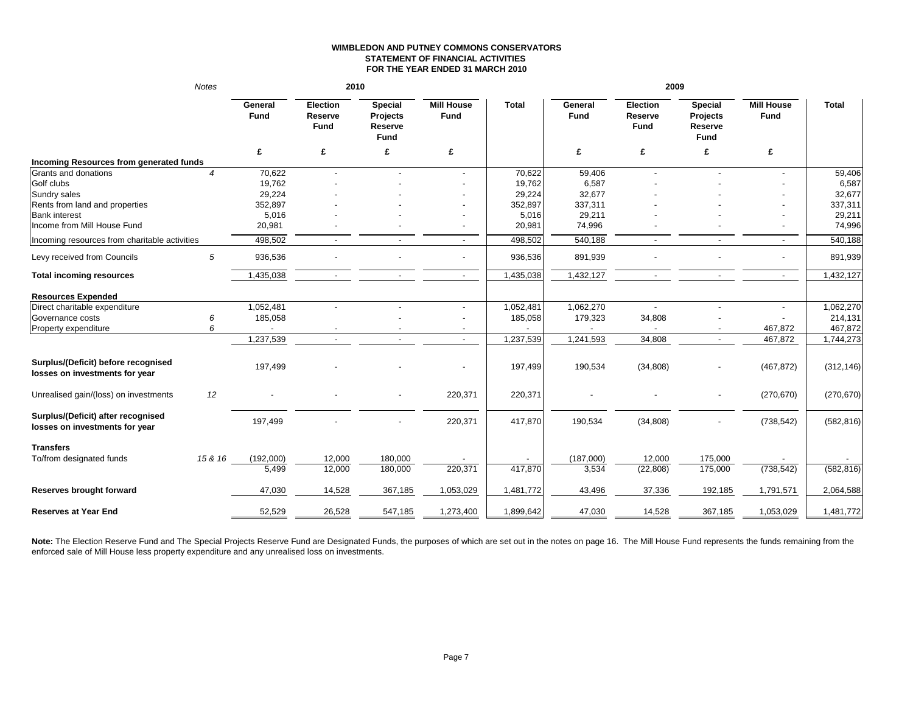#### **WIMBLEDON AND PUTNEY COMMONS CONSERVATORSSTATEMENT OF FINANCIAL ACTIVITIES FOR THE YEAR ENDED 31 MARCH 2010**

|                                                                       | Notes          | 2010                   |                                    |                                               |                           |              | 2009            |                                    |                                                      |                           |              |
|-----------------------------------------------------------------------|----------------|------------------------|------------------------------------|-----------------------------------------------|---------------------------|--------------|-----------------|------------------------------------|------------------------------------------------------|---------------------------|--------------|
|                                                                       |                | General<br><b>Fund</b> | Election<br>Reserve<br><b>Fund</b> | <b>Special</b><br>Projects<br>Reserve<br>Fund | <b>Mill House</b><br>Fund | <b>Total</b> | General<br>Fund | Election<br>Reserve<br><b>Fund</b> | <b>Special</b><br>Projects<br>Reserve<br><b>Fund</b> | <b>Mill House</b><br>Fund | <b>Total</b> |
|                                                                       |                | £                      | £                                  | £                                             | £                         |              | £               | £                                  | £                                                    | £                         |              |
| Incoming Resources from generated funds                               |                |                        |                                    |                                               |                           |              |                 |                                    |                                                      |                           |              |
| Grants and donations                                                  | $\overline{4}$ | 70,622                 | $\overline{\phantom{a}}$           |                                               | $\blacksquare$            | 70,622       | 59,406          | $\overline{\phantom{a}}$           |                                                      |                           | 59,406       |
| Golf clubs                                                            |                | 19,762                 |                                    |                                               |                           | 19,762       | 6,587           |                                    |                                                      |                           | 6,587        |
| Sundry sales                                                          |                | 29,224                 |                                    |                                               |                           | 29,224       | 32,677          |                                    |                                                      |                           | 32,677       |
| Rents from land and properties                                        |                | 352,897                |                                    |                                               |                           | 352,897      | 337,311         |                                    |                                                      |                           | 337,311      |
| <b>Bank interest</b>                                                  |                | 5,016                  |                                    |                                               |                           | 5,016        | 29,211          |                                    |                                                      |                           | 29,211       |
| Income from Mill House Fund                                           |                | 20,981                 |                                    |                                               |                           | 20,981       | 74,996          |                                    |                                                      |                           | 74,996       |
| Incoming resources from charitable activities                         |                | 498,502                |                                    |                                               | $\sim$                    | 498,502      | 540,188         |                                    |                                                      | $\overline{a}$            | 540,188      |
| Levy received from Councils                                           | 5              | 936,536                |                                    |                                               |                           | 936,536      | 891,939         |                                    |                                                      |                           | 891,939      |
| <b>Total incoming resources</b>                                       |                | 1,435,038              |                                    |                                               | $\overline{a}$            | 1,435,038    | 1,432,127       | $\overline{\phantom{a}}$           |                                                      | $\sim$                    | 1,432,127    |
| <b>Resources Expended</b>                                             |                |                        |                                    |                                               |                           |              |                 |                                    |                                                      |                           |              |
| Direct charitable expenditure                                         |                | 1,052,481              |                                    | $\overline{a}$                                | $\overline{\phantom{a}}$  | 1,052,481    | 1,062,270       | $\sim$                             | $\overline{a}$                                       |                           | 1,062,270    |
| Governance costs                                                      | 6              | 185,058                |                                    |                                               |                           | 185,058      | 179,323         | 34,808                             |                                                      |                           | 214,131      |
| Property expenditure                                                  | 6              |                        |                                    |                                               |                           |              |                 |                                    |                                                      | 467,872                   | 467,872      |
|                                                                       |                | 1,237,539              |                                    |                                               | $\overline{a}$            | 1,237,539    | 1,241,593       | 34,808                             | $\overline{\phantom{a}}$                             | 467,872                   | 1,744,273    |
| Surplus/(Deficit) before recognised<br>losses on investments for year |                | 197,499                |                                    |                                               |                           | 197,499      | 190,534         | (34, 808)                          |                                                      | (467, 872)                | (312, 146)   |
| Unrealised gain/(loss) on investments                                 | 12             |                        |                                    |                                               | 220,371                   | 220,371      |                 |                                    |                                                      | (270, 670)                | (270, 670)   |
| Surplus/(Deficit) after recognised<br>losses on investments for year  |                | 197,499                |                                    |                                               | 220,371                   | 417,870      | 190,534         | (34, 808)                          |                                                      | (738, 542)                | (582, 816)   |
| <b>Transfers</b><br>To/from designated funds                          | 15 & 16        | (192,000)              | 12,000                             | 180,000                                       |                           |              | (187,000)       | 12,000                             | 175,000                                              |                           |              |
|                                                                       |                | 5.499                  | 12,000                             | 180,000                                       | 220,371                   | 417,870      | 3,534           | (22, 808)                          | 175,000                                              | (738, 542)                | (582, 816)   |
| Reserves brought forward                                              |                | 47,030                 | 14,528                             | 367,185                                       | 1,053,029                 | 1,481,772    | 43,496          | 37,336                             | 192,185                                              | 1,791,571                 | 2,064,588    |
| <b>Reserves at Year End</b>                                           |                | 52,529                 | 26,528                             | 547,185                                       | 1,273,400                 | 1,899,642    | 47,030          | 14,528                             | 367,185                                              | 1,053,029                 | 1,481,772    |
|                                                                       |                |                        |                                    |                                               |                           |              |                 |                                    |                                                      |                           |              |

Note: The Election Reserve Fund and The Special Projects Reserve Fund are Designated Funds, the purposes of which are set out in the notes on page 16. The Mill House Fund represents the funds remaining from the enforced sale of Mill House less property expenditure and any unrealised loss on investments.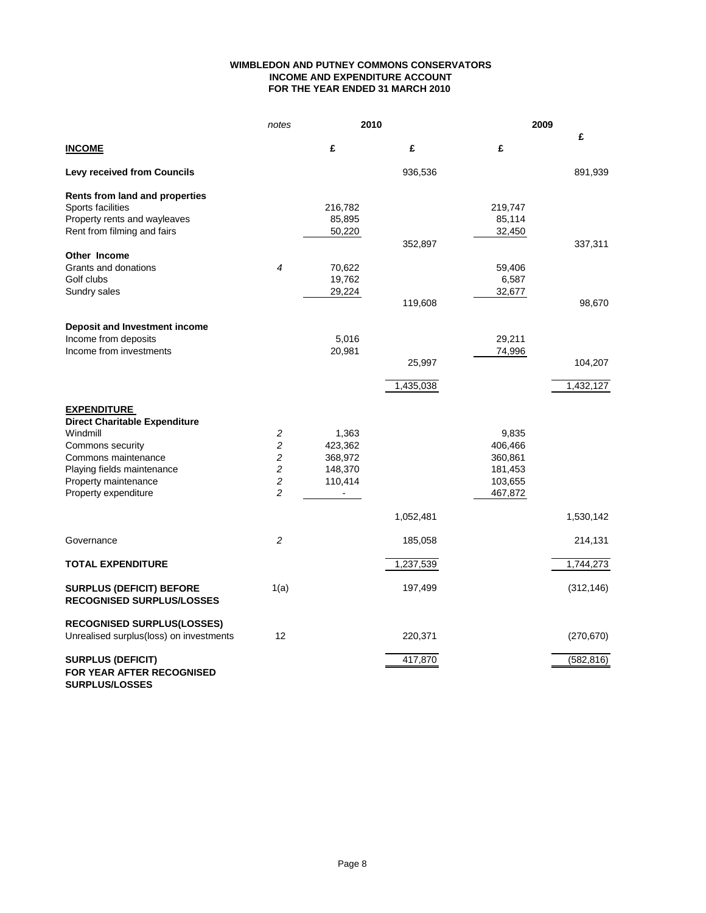#### **WIMBLEDON AND PUTNEY COMMONS CONSERVATORS INCOME AND EXPENDITURE ACCOUNT FOR THE YEAR ENDED 31 MARCH 2010**

|                                                                     | notes          | 2010           |           | 2009    |            |  |
|---------------------------------------------------------------------|----------------|----------------|-----------|---------|------------|--|
| <b>INCOME</b>                                                       |                | £              | £         | £       | £          |  |
| <b>Levy received from Councils</b>                                  |                |                | 936,536   |         | 891,939    |  |
| Rents from land and properties                                      |                |                |           |         |            |  |
| Sports facilities                                                   |                | 216,782        |           | 219,747 |            |  |
| Property rents and wayleaves                                        |                | 85,895         |           | 85,114  |            |  |
| Rent from filming and fairs                                         |                | 50,220         |           | 32,450  |            |  |
|                                                                     |                |                | 352,897   |         | 337,311    |  |
| Other Income                                                        |                |                |           |         |            |  |
| Grants and donations                                                | 4              | 70,622         |           | 59,406  |            |  |
| Golf clubs                                                          |                | 19,762         |           | 6,587   |            |  |
| Sundry sales                                                        |                | 29,224         |           | 32,677  |            |  |
|                                                                     |                |                | 119,608   |         | 98,670     |  |
| Deposit and Investment income                                       |                |                |           |         |            |  |
| Income from deposits                                                |                | 5,016          |           | 29,211  |            |  |
| Income from investments                                             |                | 20,981         |           | 74,996  |            |  |
|                                                                     |                |                | 25,997    |         | 104,207    |  |
|                                                                     |                |                | 1,435,038 |         | 1,432,127  |  |
|                                                                     |                |                |           |         |            |  |
| <b>EXPENDITURE</b>                                                  |                |                |           |         |            |  |
| <b>Direct Charitable Expenditure</b>                                |                |                |           |         |            |  |
| Windmill                                                            | 2              | 1,363          |           | 9,835   |            |  |
| Commons security                                                    | $\overline{c}$ | 423,362        |           | 406,466 |            |  |
| Commons maintenance                                                 | $\sqrt{2}$     | 368,972        |           | 360,861 |            |  |
| Playing fields maintenance                                          | $\sqrt{2}$     | 148,370        |           | 181,453 |            |  |
| Property maintenance                                                | $\sqrt{2}$     | 110,414        |           | 103,655 |            |  |
| Property expenditure                                                | $\overline{c}$ | $\blacksquare$ |           | 467,872 |            |  |
|                                                                     |                |                | 1,052,481 |         | 1,530,142  |  |
| Governance                                                          | 2              |                | 185,058   |         | 214,131    |  |
| <b>TOTAL EXPENDITURE</b>                                            |                |                | 1,237,539 |         | 1,744,273  |  |
| <b>SURPLUS (DEFICIT) BEFORE</b><br><b>RECOGNISED SURPLUS/LOSSES</b> | 1(a)           |                | 197,499   |         | (312, 146) |  |
| <b>RECOGNISED SURPLUS(LOSSES)</b>                                   |                |                |           |         |            |  |
| Unrealised surplus(loss) on investments                             | 12             |                | 220,371   |         | (270, 670) |  |
| <b>SURPLUS (DEFICIT)</b>                                            |                |                | 417,870   |         | (582, 816) |  |
| <b>FOR YEAR AFTER RECOGNISED</b><br><b>SURPLUS/LOSSES</b>           |                |                |           |         |            |  |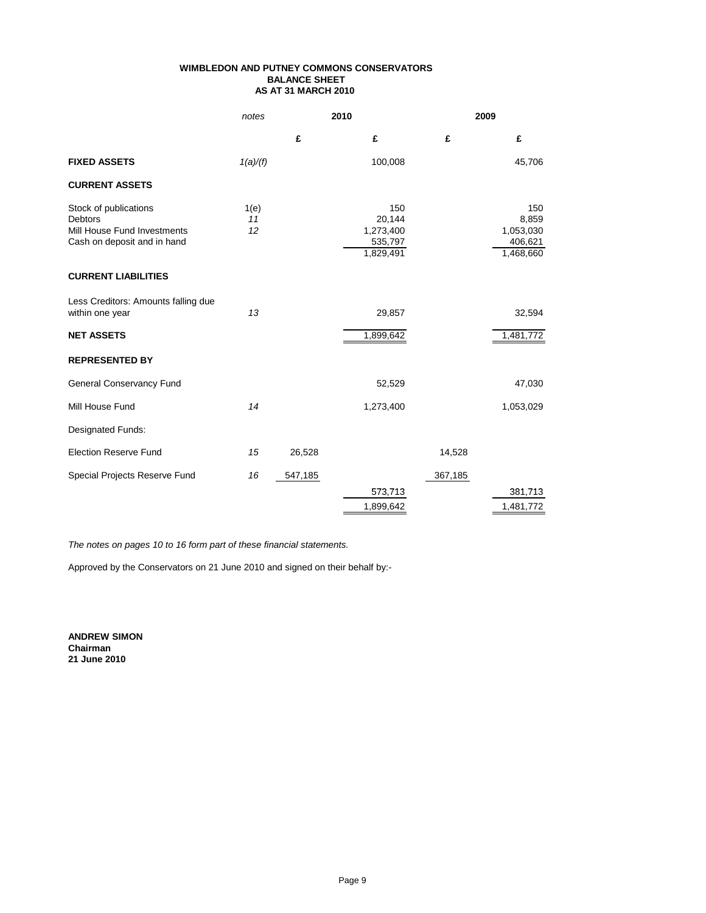#### **WIMBLEDON AND PUTNEY COMMONS CONSERVATORS BALANCE SHEET AS AT 31 MARCH 2010**

|                                                                                                       | notes            |         | 2010                                               | 2009    |                                                   |
|-------------------------------------------------------------------------------------------------------|------------------|---------|----------------------------------------------------|---------|---------------------------------------------------|
|                                                                                                       |                  | £       | £                                                  | £       | £                                                 |
| <b>FIXED ASSETS</b>                                                                                   | 1(a)/(f)         |         | 100,008                                            |         | 45,706                                            |
| <b>CURRENT ASSETS</b>                                                                                 |                  |         |                                                    |         |                                                   |
| Stock of publications<br><b>Debtors</b><br>Mill House Fund Investments<br>Cash on deposit and in hand | 1(e)<br>11<br>12 |         | 150<br>20,144<br>1,273,400<br>535,797<br>1,829,491 |         | 150<br>8,859<br>1,053,030<br>406,621<br>1,468,660 |
| <b>CURRENT LIABILITIES</b>                                                                            |                  |         |                                                    |         |                                                   |
| Less Creditors: Amounts falling due<br>within one year                                                | 13               |         | 29,857                                             |         | 32,594                                            |
| <b>NET ASSETS</b>                                                                                     |                  |         | 1,899,642                                          |         | 1,481,772                                         |
| <b>REPRESENTED BY</b>                                                                                 |                  |         |                                                    |         |                                                   |
| <b>General Conservancy Fund</b>                                                                       |                  |         | 52,529                                             |         | 47,030                                            |
| Mill House Fund                                                                                       | 14               |         | 1,273,400                                          |         | 1,053,029                                         |
| Designated Funds:                                                                                     |                  |         |                                                    |         |                                                   |
| <b>Election Reserve Fund</b>                                                                          | 15               | 26,528  |                                                    | 14,528  |                                                   |
| Special Projects Reserve Fund                                                                         | 16               | 547,185 |                                                    | 367,185 |                                                   |
|                                                                                                       |                  |         | 573,713                                            |         | 381,713                                           |
|                                                                                                       |                  |         | 1,899,642                                          |         | 1,481,772                                         |

*The notes on pages 10 to 16 form part of these financial statements.*

Approved by the Conservators on 21 June 2010 and signed on their behalf by:-

**ANDREW SIMON Chairman 21 June 2010**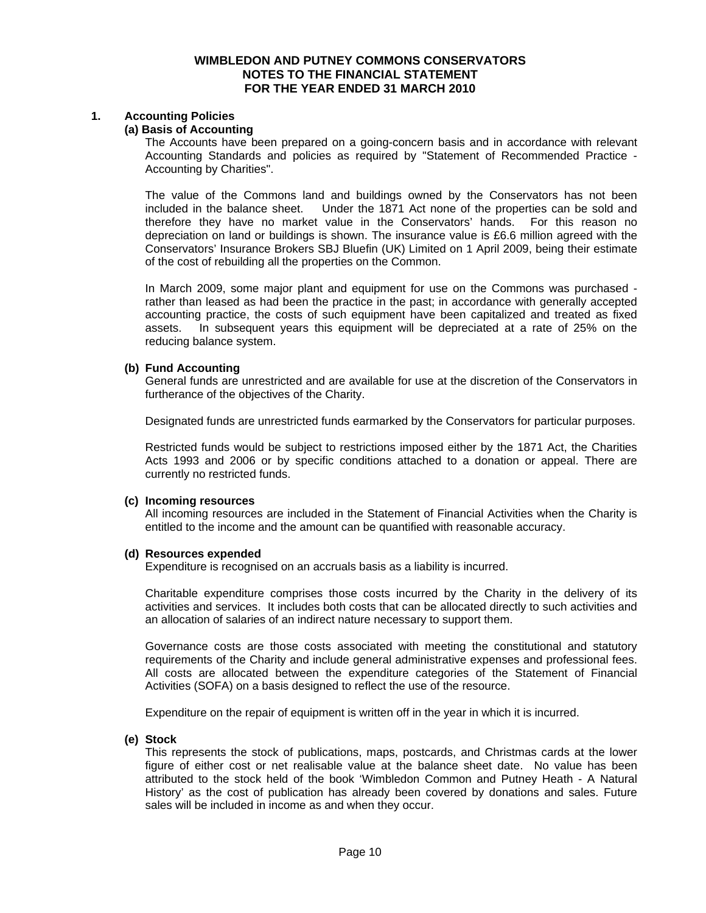#### **WIMBLEDON AND PUTNEY COMMONS CONSERVATORS NOTES TO THE FINANCIAL STATEMENT FOR THE YEAR ENDED 31 MARCH 2010**

#### **1. Accounting Policies**

#### **(a) Basis of Accounting**

The Accounts have been prepared on a going-concern basis and in accordance with relevant Accounting Standards and policies as required by "Statement of Recommended Practice - Accounting by Charities".

The value of the Commons land and buildings owned by the Conservators has not been included in the balance sheet. Under the 1871 Act none of the properties can be sold and therefore they have no market value in the Conservators' hands. For this reason no depreciation on land or buildings is shown. The insurance value is £6.6 million agreed with the Conservators' Insurance Brokers SBJ Bluefin (UK) Limited on 1 April 2009, being their estimate of the cost of rebuilding all the properties on the Common.

In March 2009, some major plant and equipment for use on the Commons was purchased rather than leased as had been the practice in the past; in accordance with generally accepted accounting practice, the costs of such equipment have been capitalized and treated as fixed assets. In subsequent years this equipment will be depreciated at a rate of 25% on the reducing balance system.

#### **(b) Fund Accounting**

General funds are unrestricted and are available for use at the discretion of the Conservators in furtherance of the objectives of the Charity.

Designated funds are unrestricted funds earmarked by the Conservators for particular purposes.

Restricted funds would be subject to restrictions imposed either by the 1871 Act, the Charities Acts 1993 and 2006 or by specific conditions attached to a donation or appeal. There are currently no restricted funds.

#### **(c) Incoming resources**

All incoming resources are included in the Statement of Financial Activities when the Charity is entitled to the income and the amount can be quantified with reasonable accuracy.

#### **(d) Resources expended**

Expenditure is recognised on an accruals basis as a liability is incurred.

Charitable expenditure comprises those costs incurred by the Charity in the delivery of its activities and services. It includes both costs that can be allocated directly to such activities and an allocation of salaries of an indirect nature necessary to support them.

Governance costs are those costs associated with meeting the constitutional and statutory requirements of the Charity and include general administrative expenses and professional fees. All costs are allocated between the expenditure categories of the Statement of Financial Activities (SOFA) on a basis designed to reflect the use of the resource.

Expenditure on the repair of equipment is written off in the year in which it is incurred.

#### **(e) Stock**

This represents the stock of publications, maps, postcards, and Christmas cards at the lower figure of either cost or net realisable value at the balance sheet date. No value has been attributed to the stock held of the book 'Wimbledon Common and Putney Heath - A Natural History' as the cost of publication has already been covered by donations and sales. Future sales will be included in income as and when they occur.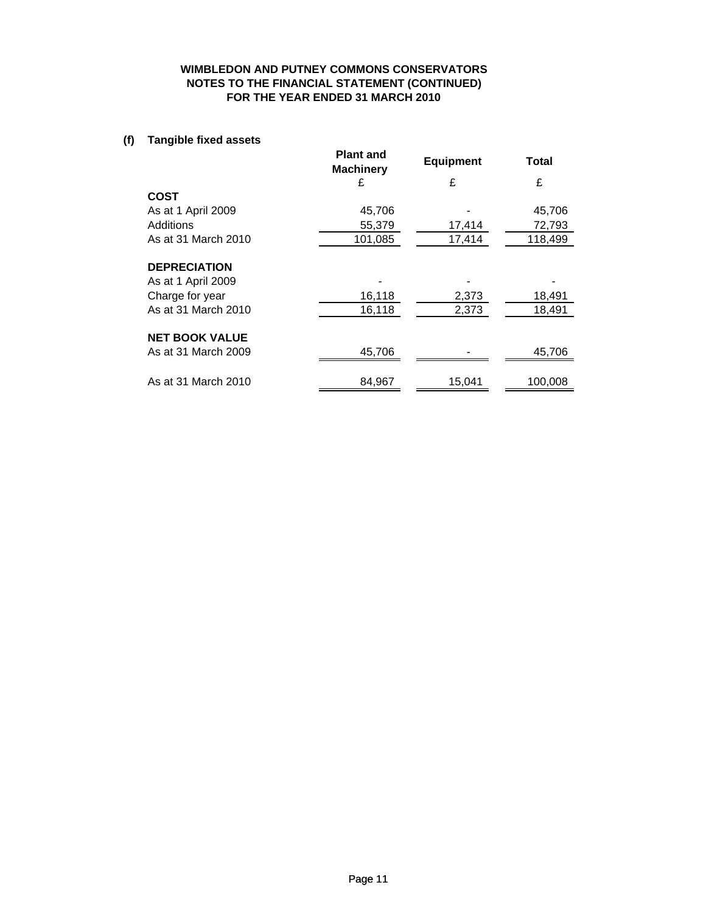#### **WIMBLEDON AND PUTNEY COMMONS CONSERVATORS NOTES TO THE FINANCIAL STATEMENT (CONTINUED) FOR THE YEAR ENDED 31 MARCH 2010**

### **(f) Tangible fixed assets**

|                       | <b>Plant and</b><br><b>Machinery</b> | <b>Equipment</b> | Total   |
|-----------------------|--------------------------------------|------------------|---------|
|                       | £                                    | £                | £       |
| <b>COST</b>           |                                      |                  |         |
| As at 1 April 2009    | 45,706                               |                  | 45,706  |
| Additions             | 55,379                               | 17,414           | 72,793  |
| As at 31 March 2010   | 101,085                              | 17,414           | 118,499 |
|                       |                                      |                  |         |
| <b>DEPRECIATION</b>   |                                      |                  |         |
| As at 1 April 2009    |                                      |                  |         |
| Charge for year       | 16,118                               | 2,373            | 18,491  |
| As at 31 March 2010   | 16,118                               | 2,373            | 18,491  |
|                       |                                      |                  |         |
| <b>NET BOOK VALUE</b> |                                      |                  |         |
| As at 31 March 2009   | 45,706                               |                  | 45,706  |
|                       |                                      |                  |         |
| As at 31 March 2010   | 84,967                               | 15,041           | 100,008 |
|                       |                                      |                  |         |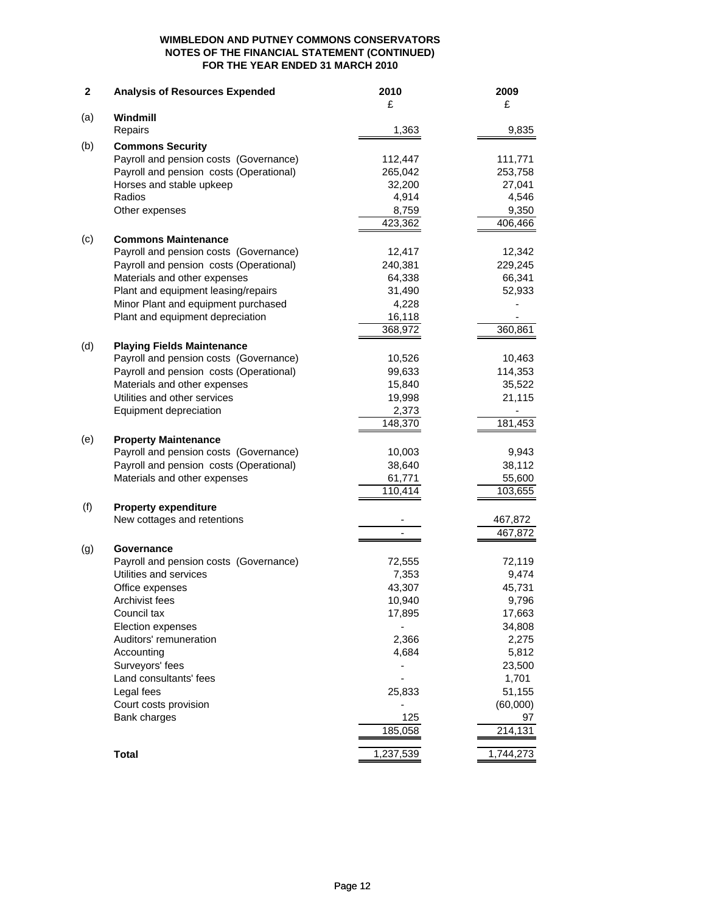#### **WIMBLEDON AND PUTNEY COMMONS CONSERVATORS NOTES OF THE FINANCIAL STATEMENT (CONTINUED) FOR THE YEAR ENDED 31 MARCH 2010**

| $\mathbf 2$ | <b>Analysis of Resources Expended</b>   | 2010      | 2009      |
|-------------|-----------------------------------------|-----------|-----------|
|             |                                         | £         | £         |
| (a)         | Windmill                                |           |           |
|             | Repairs                                 | 1,363     | 9,835     |
| (b)         | <b>Commons Security</b>                 |           |           |
|             | Payroll and pension costs (Governance)  | 112,447   | 111,771   |
|             | Payroll and pension costs (Operational) | 265,042   | 253,758   |
|             | Horses and stable upkeep                | 32,200    | 27,041    |
|             | Radios                                  | 4,914     | 4,546     |
|             | Other expenses                          | 8,759     | 9,350     |
|             |                                         | 423,362   | 406,466   |
| (c)         | <b>Commons Maintenance</b>              |           |           |
|             | Payroll and pension costs (Governance)  | 12,417    | 12,342    |
|             | Payroll and pension costs (Operational) | 240,381   | 229,245   |
|             | Materials and other expenses            | 64,338    | 66,341    |
|             | Plant and equipment leasing/repairs     | 31,490    | 52,933    |
|             | Minor Plant and equipment purchased     | 4,228     |           |
|             | Plant and equipment depreciation        | 16,118    |           |
|             |                                         | 368,972   | 360,861   |
| (d)         | <b>Playing Fields Maintenance</b>       |           |           |
|             | Payroll and pension costs (Governance)  | 10,526    | 10,463    |
|             | Payroll and pension costs (Operational) | 99,633    | 114,353   |
|             | Materials and other expenses            | 15,840    | 35,522    |
|             | Utilities and other services            | 19,998    | 21,115    |
|             | Equipment depreciation                  | 2,373     |           |
|             |                                         | 148,370   | 181,453   |
| (e)         | <b>Property Maintenance</b>             |           |           |
|             | Payroll and pension costs (Governance)  | 10,003    | 9,943     |
|             | Payroll and pension costs (Operational) | 38,640    | 38,112    |
|             | Materials and other expenses            | 61,771    | 55,600    |
|             |                                         | 110,414   | 103,655   |
| (f)         | <b>Property expenditure</b>             |           |           |
|             | New cottages and retentions             |           | 467,872   |
|             |                                         |           | 467,872   |
| (g)         | Governance                              |           |           |
|             | Payroll and pension costs (Governance)  | 72,555    | 72,119    |
|             | Utilities and services                  | 7,353     | 9,474     |
|             | Office expenses                         | 43,307    | 45,731    |
|             | Archivist fees                          | 10,940    | 9,796     |
|             | Council tax                             | 17,895    | 17,663    |
|             | Election expenses                       |           | 34,808    |
|             | Auditors' remuneration                  | 2,366     | 2,275     |
|             | Accounting                              | 4,684     | 5,812     |
|             | Surveyors' fees                         |           | 23,500    |
|             | Land consultants' fees                  |           | 1,701     |
|             | Legal fees                              | 25,833    | 51,155    |
|             | Court costs provision                   |           | (60,000)  |
|             | Bank charges                            | 125       | 97        |
|             |                                         | 185,058   | 214,131   |
|             | <b>Total</b>                            | 1,237,539 | 1,744,273 |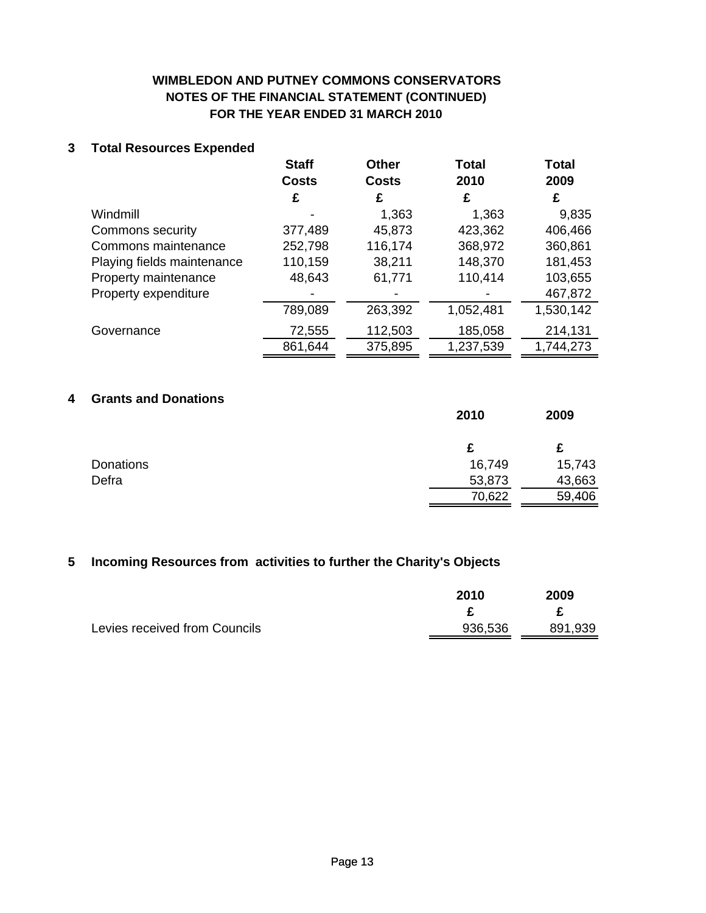# **WIMBLEDON AND PUTNEY COMMONS CONSERVATORS NOTES OF THE FINANCIAL STATEMENT (CONTINUED) FOR THE YEAR ENDED 31 MARCH 2010**

## **3 Total Resources Expended**

|                            | <b>Staff</b> | <b>Other</b> | Total     | <b>Total</b> |
|----------------------------|--------------|--------------|-----------|--------------|
|                            | <b>Costs</b> | <b>Costs</b> | 2010      | 2009         |
|                            | £            | £            | £         | £            |
| Windmill                   |              | 1,363        | 1,363     | 9,835        |
| Commons security           | 377,489      | 45,873       | 423,362   | 406,466      |
| Commons maintenance        | 252,798      | 116,174      | 368,972   | 360,861      |
| Playing fields maintenance | 110,159      | 38,211       | 148,370   | 181,453      |
| Property maintenance       | 48,643       | 61,771       | 110,414   | 103,655      |
| Property expenditure       |              |              |           | 467,872      |
|                            | 789,089      | 263,392      | 1,052,481 | 1,530,142    |
| Governance                 | 72,555       | 112,503      | 185,058   | 214,131      |
|                            | 861,644      | 375,895      | 1,237,539 | 1,744,273    |

# **4 Grants and Donations**

|                  | 2010   | 2009   |
|------------------|--------|--------|
|                  | £      | £      |
| <b>Donations</b> | 16,749 | 15,743 |
| Defra            | 53,873 | 43,663 |
|                  | 70,622 | 59,406 |

### **5 Incoming Resources from activities to further the Charity's Objects**

|                               | 2010    | 2009    |
|-------------------------------|---------|---------|
|                               |         |         |
| Levies received from Councils | 936,536 | 891,939 |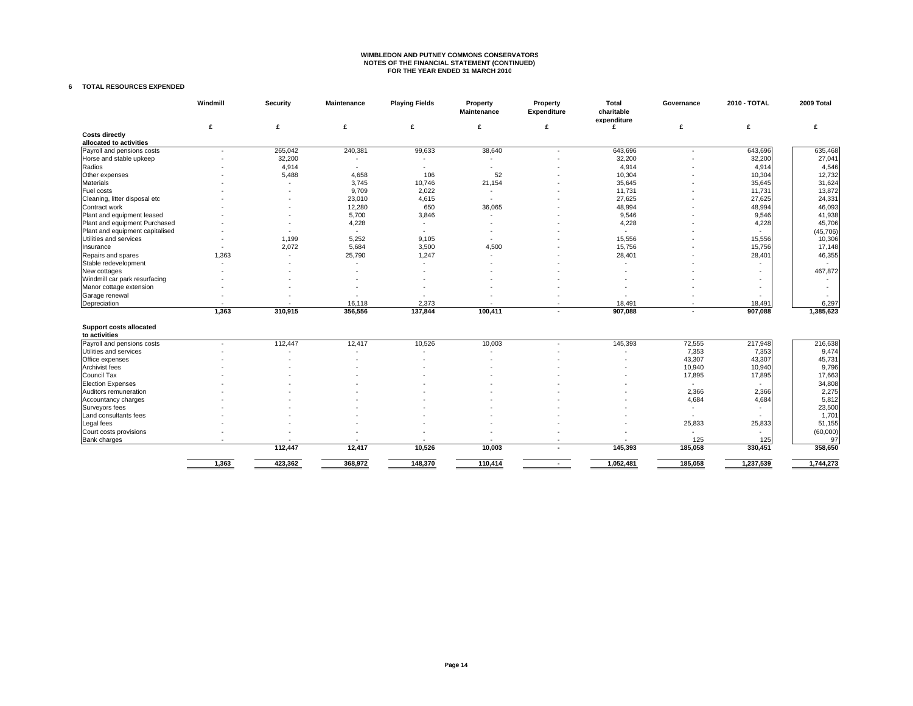# **WIMBLEDON AND PUTNEY COMMONS CONSERVATORS NOTES OF THE FINANCIAL STATEMENT (CONTINUED) FOR THE YEAR ENDED 31 MARCH 2010**

#### **6 TOTAL RESOURCES EXPENDED**

|                                 | Windmill       | Security | <b>Maintenance</b> | <b>Playing Fields</b> | Property<br><b>Maintenance</b> | Property<br>Expenditure | Total<br>charitable<br>expenditure | Governance | 2010 - TOTAL      | 2009 Total         |
|---------------------------------|----------------|----------|--------------------|-----------------------|--------------------------------|-------------------------|------------------------------------|------------|-------------------|--------------------|
|                                 | £              | £        | £                  | £                     | £                              | £                       | £                                  | £          | £                 | £                  |
| <b>Costs directly</b>           |                |          |                    |                       |                                |                         |                                    |            |                   |                    |
| allocated to activities         |                |          |                    |                       |                                |                         |                                    |            |                   |                    |
| Payroll and pensions costs      | $\overline{a}$ | 265,042  | 240,381            | 99,633                | 38,640                         | $\overline{a}$          | 643,696                            | ٠          | 643,696           | 635,468            |
| Horse and stable upkeep         |                | 32,200   |                    |                       |                                |                         | 32,200                             |            | 32,200            | 27,041             |
| Radios                          |                | 4,914    | ×                  |                       | ٠                              |                         | 4,914                              |            | 4,914             | 4,546              |
| Other expenses                  |                | 5,488    | 4,658              | 106                   | 52                             |                         | 10,304                             |            | 10,304            | 12,732             |
| Materials                       |                |          | 3,745              | 10,746                | 21,154                         |                         | 35,645                             |            | 35,645            | 31,624             |
| Fuel costs                      |                |          | 9,709              | 2,022                 | ٠                              |                         | 11,731                             |            | 11,731            | 13,872             |
| Cleaning, litter disposal etc   |                |          | 23,010             | 4,615                 | ٠                              |                         | 27,625                             |            | 27,625            | 24,331             |
| Contract work                   |                |          | 12,280             | 650                   | 36,065                         |                         | 48,994                             |            | 48,994            | 46,093             |
| Plant and equipment leased      |                |          | 5,700              | 3,846                 | ٠                              |                         | 9,546                              |            | 9,546             | 41,938             |
| Plant and equipment Purchased   |                |          | 4,228              |                       |                                |                         | 4,228                              |            | 4,228             | 45,706             |
| Plant and equipment capitalised |                |          | $\sim$             |                       |                                |                         |                                    |            | $\sim$            | (45, 706)          |
| Utilities and services          |                | 1,199    | 5,252              | 9,105                 | ÷.                             |                         | 15,556                             |            | 15,556            | 10,306             |
| Insurance                       |                | 2,072    | 5,684              | 3,500                 | 4,500                          |                         | 15,756                             |            | 15,756            | 17,148             |
| Repairs and spares              | 1,363          |          | 25,790             | 1,247                 |                                |                         | 28,401                             |            | 28,401            | 46,355             |
| Stable redevelopment            | $\overline{a}$ |          | ÷                  |                       |                                |                         |                                    |            |                   |                    |
| New cottages                    |                |          |                    |                       |                                |                         |                                    |            |                   | 467,872            |
|                                 |                |          |                    |                       |                                |                         |                                    |            |                   |                    |
| Windmill car park resurfacing   |                |          |                    |                       |                                |                         |                                    |            |                   |                    |
| Manor cottage extension         |                |          |                    |                       |                                |                         |                                    |            | $\overline{a}$    |                    |
| Garage renewal                  |                |          |                    |                       |                                |                         |                                    |            |                   |                    |
| Depreciation                    | 1.363          | 310,915  | 16,118<br>356,556  | 2,373<br>137,844      | 100,411                        |                         | 18,491<br>907,088                  |            | 18,491<br>907,088 | 6,297<br>1,385,623 |
|                                 |                |          |                    |                       |                                |                         |                                    |            |                   |                    |
| Support costs allocated         |                |          |                    |                       |                                |                         |                                    |            |                   |                    |
| to activities                   |                |          |                    |                       |                                |                         |                                    |            |                   |                    |
| Payroll and pensions costs      |                | 112,447  | 12,417             | 10,526                | 10,003                         |                         | 145,393                            | 72,555     | 217,948           | 216,638            |
| Utilities and services          |                |          |                    |                       |                                |                         |                                    | 7,353      | 7,353             | 9,474              |
| Office expenses                 |                |          |                    |                       |                                |                         |                                    | 43,307     | 43,307            | 45,731             |
| Archivist fees                  |                |          |                    |                       |                                |                         |                                    | 10,940     | 10,940            | 9,796              |
| Council Tax                     |                |          |                    |                       |                                |                         |                                    | 17,895     | 17,895            | 17,663             |
| <b>Election Expenses</b>        |                |          |                    |                       |                                |                         |                                    |            |                   | 34,808             |
| Auditors remuneration           |                |          |                    |                       |                                |                         |                                    | 2,366      | 2,366             | 2,275              |
| Accountancy charges             |                |          |                    |                       |                                |                         |                                    | 4,684      | 4,684             | 5,812              |
| Surveyors fees                  |                |          |                    |                       |                                |                         |                                    | ٠          |                   | 23,500             |
| Land consultants fees           |                |          |                    |                       |                                |                         |                                    | ٠          |                   | 1,701              |
| Legal fees                      |                |          |                    |                       |                                |                         |                                    | 25,833     | 25,833            | 51,155             |
| Court costs provisions          |                |          |                    |                       |                                |                         |                                    |            | $\sim$            | (60,000)           |
| <b>Bank charges</b>             |                |          |                    |                       |                                |                         |                                    | 125        | 125               | 97                 |
|                                 |                | 112,447  | 12,417             | 10,526                | 10,003                         |                         | 145,393                            | 185,058    | 330,451           | 358,650            |
|                                 | 1,363          | 423,362  | 368,972            | 148,370               | 110,414                        | $\sim$                  | 1,052,481                          | 185,058    | 1,237,539         | 1,744,273          |
|                                 |                |          |                    |                       |                                |                         |                                    |            |                   |                    |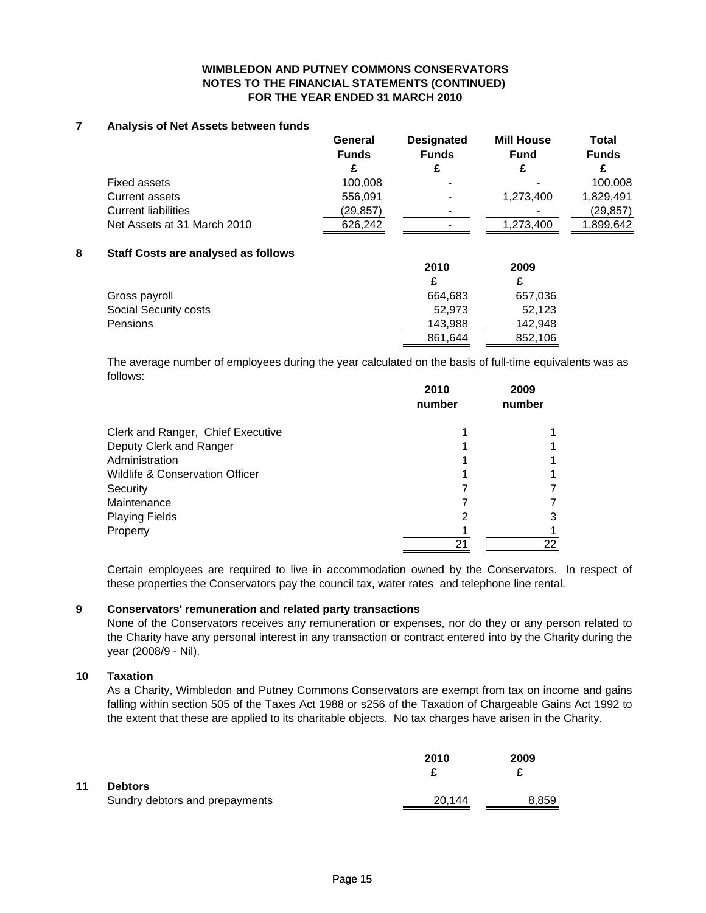#### **WIMBLEDON AND PUTNEY COMMONS CONSERVATORS NOTES TO THE FINANCIAL STATEMENTS (CONTINUED) FOR THE YEAR ENDED 31 MARCH 2010**

#### **7 Analysis of Net Assets between funds**

|                             | General      | <b>Designated</b>        | <b>Mill House</b> | <b>Total</b> |  |
|-----------------------------|--------------|--------------------------|-------------------|--------------|--|
|                             | <b>Funds</b> | <b>Funds</b>             | <b>Fund</b>       | <b>Funds</b> |  |
|                             |              |                          |                   |              |  |
| Fixed assets                | 100,008      | $\overline{\phantom{0}}$ |                   | 100.008      |  |
| Current assets              | 556,091      | $\overline{\phantom{0}}$ | 1.273.400         | 1,829,491    |  |
| <b>Current liabilities</b>  | (29,857)     | $\overline{\phantom{0}}$ |                   | (29, 857)    |  |
| Net Assets at 31 March 2010 | 626.242      | $\blacksquare$           | 1,273,400         | 899,642,ا    |  |

#### **8 Staff Costs are analysed as follows**

|                       | 2010    | 2009    |
|-----------------------|---------|---------|
|                       |         |         |
| Gross payroll         | 664.683 | 657,036 |
| Social Security costs | 52.973  | 52,123  |
| <b>Pensions</b>       | 143,988 | 142.948 |
|                       | 861,644 | 852,106 |

The average number of employees during the year calculated on the basis of full-time equivalents was as follows:

|                                   | 2010<br>number | 2009<br>number |
|-----------------------------------|----------------|----------------|
| Clerk and Ranger, Chief Executive |                |                |
| Deputy Clerk and Ranger           |                |                |
| Administration                    |                |                |
| Wildlife & Conservation Officer   |                |                |
| Security                          |                |                |
| Maintenance                       |                |                |
| <b>Playing Fields</b>             | 2              | 3              |
| Property                          |                |                |
|                                   | 21             | 22             |

Certain employees are required to live in accommodation owned by the Conservators. In respect of these properties the Conservators pay the council tax, water rates and telephone line rental.

#### **9 Conservators' remuneration and related party transactions**

None of the Conservators receives any remuneration or expenses, nor do they or any person related to the Charity have any personal interest in any transaction or contract entered into by the Charity during the year (2008/9 - Nil).

#### **10 Taxation**

As a Charity, Wimbledon and Putney Commons Conservators are exempt from tax on income and gains falling within section 505 of the Taxes Act 1988 or s256 of the Taxation of Chargeable Gains Act 1992 to the extent that these are applied to its charitable objects. No tax charges have arisen in the Charity.

|    |                                                  | 2010   | 2009<br>£ |
|----|--------------------------------------------------|--------|-----------|
| 11 | <b>Debtors</b><br>Sundry debtors and prepayments | 20,144 | 8,859     |